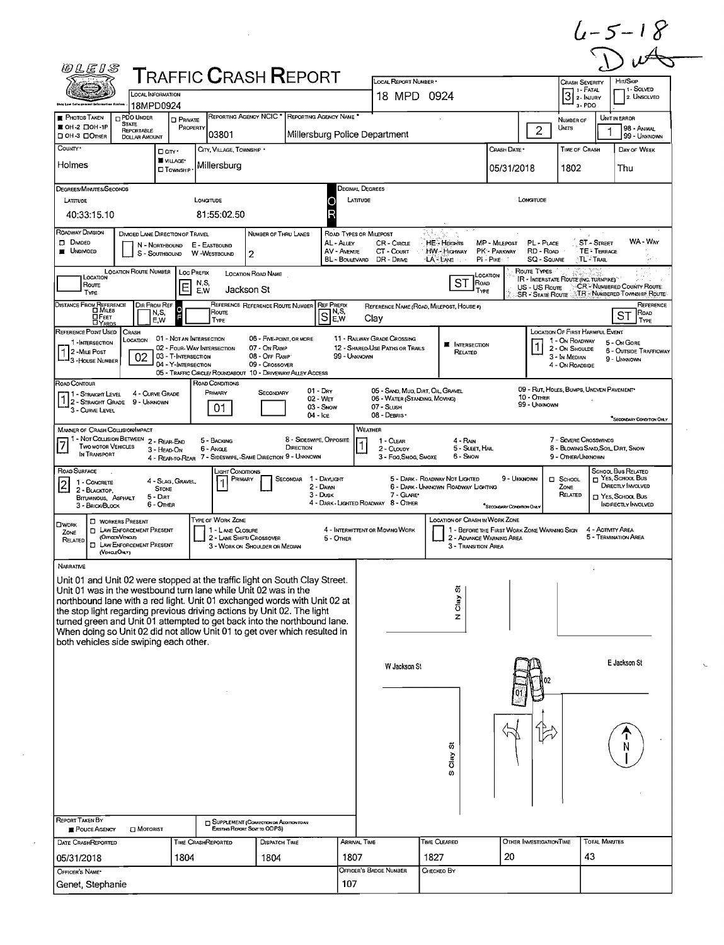|                                                                                                                                                                                                                                                                                                                                                                                                                                                                                                                               | 0LEIS                                                                                                                |                                                                        |                                                                                           |                                                                             | <b>T</b> RAFFIC <b>C</b> RASH <b>R</b> EPORT                  |                                                                                         |                                                                                                 |                                                                       |                                                                         |                                               |                                                                                                         |                                                                                                               |
|-------------------------------------------------------------------------------------------------------------------------------------------------------------------------------------------------------------------------------------------------------------------------------------------------------------------------------------------------------------------------------------------------------------------------------------------------------------------------------------------------------------------------------|----------------------------------------------------------------------------------------------------------------------|------------------------------------------------------------------------|-------------------------------------------------------------------------------------------|-----------------------------------------------------------------------------|---------------------------------------------------------------|-----------------------------------------------------------------------------------------|-------------------------------------------------------------------------------------------------|-----------------------------------------------------------------------|-------------------------------------------------------------------------|-----------------------------------------------|---------------------------------------------------------------------------------------------------------|---------------------------------------------------------------------------------------------------------------|
| <b>Oble Low Cafacerment Information Eyelec</b>                                                                                                                                                                                                                                                                                                                                                                                                                                                                                | LOCAL INFORMATION<br>18MPD0924                                                                                       |                                                                        |                                                                                           |                                                                             |                                                               |                                                                                         | LOCAL REPORT NUMBER *<br>18 MPD 0924                                                            |                                                                       |                                                                         |                                               | <b>CRASH SEVERITY</b><br>1 - Fatal<br>32<br>3-PDO                                                       | HIT/SKIP<br>1 1 - Solved<br>2. UNSOLVEO                                                                       |
| <b>PHOTOS TAKEN</b><br>■ OH-2 口OH-1P                                                                                                                                                                                                                                                                                                                                                                                                                                                                                          | <b>PDO UNDER</b><br>State<br>REPORTABLE                                                                              | <b>D</b> PRIVATE<br>PROPERTY                                           |                                                                                           |                                                                             | REPORTING AGENCY NCIC * REPORTING AGENCY NAME *               |                                                                                         |                                                                                                 |                                                                       |                                                                         | $\overline{c}$                                | NUMBER OF<br>UNTS                                                                                       | <b>UNIT IN ERROR</b><br>98 - ANIMAL                                                                           |
| <b>DOH-3 DOTHER</b><br>COUNTY <sup>.</sup>                                                                                                                                                                                                                                                                                                                                                                                                                                                                                    | <b>DOLLAR AMOUNT</b>                                                                                                 | □ CITY*                                                                | 03801<br>CITY, VILLAGE, TOWNSHIP *                                                        |                                                                             | Millersburg Police Department                                 |                                                                                         |                                                                                                 |                                                                       | CRASH DATE *                                                            |                                               | <b>TIME OF CRASH</b>                                                                                    | 99 - UNKNOWN<br>DAY OF WEEK                                                                                   |
| Holmes                                                                                                                                                                                                                                                                                                                                                                                                                                                                                                                        |                                                                                                                      | VILLAGE*<br><b>CI</b> TOWNSHIP                                         | Millersburg                                                                               |                                                                             |                                                               |                                                                                         |                                                                                                 |                                                                       | 05/31/2018                                                              |                                               | 1802                                                                                                    | Thu                                                                                                           |
| <b>DEGREES/MINUTES/SECONDS</b><br>LATITUDE<br>40:33:15.10                                                                                                                                                                                                                                                                                                                                                                                                                                                                     |                                                                                                                      |                                                                        | LONGITUDE<br>81:55:02.50                                                                  |                                                                             |                                                               | <b>DECIMAL DEGREES</b><br>LATITUDE                                                      |                                                                                                 |                                                                       |                                                                         | LONGITUDE                                     |                                                                                                         |                                                                                                               |
| ROADWAY DIVISION<br>$D$ Divided<br><b>UNDIVIDED</b>                                                                                                                                                                                                                                                                                                                                                                                                                                                                           | DIVIOED LANE DIRECTION OF TRAVEL<br>N - Northbound<br>S - SOUTHBOUND                                                 |                                                                        | E - EASTBOUND<br>W-WESTBOUND                                                              | NUMBER OF THRU LANES<br>$\overline{2}$                                      |                                                               | ROAD TYPES OR MILEPOST<br>AL - ALLEY<br><b>AV - AVENUE</b><br>BL - BOULEVARD DR - DRIVE | CR - CIRCLE<br>CT - Court                                                                       | <b>HE-Heights</b><br>HW - Highway<br>NA EANE ∵                        | MP - MILEPOST<br>PK'- PARKWAY<br>PI - PIKE                              | PL - PLACE<br>RD - Roap<br><b>SQ - SQUARE</b> | <b>ST-STREET</b><br><b>TE: TERRACE</b><br>∖TL-TR∪น                                                      | WA - Way                                                                                                      |
| LOCATION<br>Route<br>TYPE                                                                                                                                                                                                                                                                                                                                                                                                                                                                                                     | LOCATION ROUTE NUMBER                                                                                                | <b>LOC PREFIX</b><br>E                                                 | N,S,<br>E,W                                                                               | LOCATION ROAD NAME<br>Jackson St                                            |                                                               |                                                                                         |                                                                                                 | ST                                                                    | LOCATION<br>ROAD<br>TYPE                                                | Route Types<br>US - US Route                  | <b>IR - INTERSTATE ROUTE TING. TURNPIKET"</b><br>SR - STATE ROUTE NTR - NUMBERED TOWNSHIP ROUTE         | <b>CR-NUMBERED COUNTY ROUTE:</b>                                                                              |
| DISTANCE FROM REFERENCE<br><b>O</b> FEET<br><b>DYARDS</b>                                                                                                                                                                                                                                                                                                                                                                                                                                                                     | DIR FROM REF<br>N,S,<br>E.W                                                                                          |                                                                        | Route<br>Түре                                                                             |                                                                             | REFERENCE REFERENCE ROUTE NUMBER REF PREFIX<br>ခြ‼ို့မှ<br>ချ |                                                                                         | Clay                                                                                            | REFERENCE NAME (ROAD, MILEPOST, HOUSE #)                              |                                                                         |                                               |                                                                                                         | REFERENCE<br>ROAD<br>ST<br>TYPE                                                                               |
| REFERENCE POINT USED<br>1-INTERSECTION<br>2 - MILE Post<br>- 3 - House Number                                                                                                                                                                                                                                                                                                                                                                                                                                                 | CRASH<br>LOCATION<br>02                                                                                              | 01 - NOT AN INTERSECTION<br>03 - T-INTERSECTION<br>04 - Y-INTERSECTION | 02 - FOUR-WAY INTERSECTION<br>05 - TRAFFIC CIRCLE/ ROUNDABOUT 10 - DRIVEWAY/ ALLEY ACCESS | 06 - FIVE-POINT, OR MORE<br>07 - On RAMP<br>08 - OFF RAMP<br>09 - Crossover |                                                               | 99 - Unknown                                                                            | 11 - RAILWAY GRADE CROSSING<br>12 - SHARED-USE PATHS OR TRAILS                                  | <b>I</b> INTERSECTION<br>RELATED                                      |                                                                         |                                               | LOCATION OF FIRST HARMFUL EVENT<br>1 - On ROADWAY<br>2 - ON SHOULDE<br>3 - In MEDIAN<br>4 - ON ROADSIDE | 5 - On GORE<br><b>6 - OUTSIDE TRAFFICWAY</b><br>9 - UNKNOWN                                                   |
| Road Contour<br>11 - Straight Level<br>1 - STRAIGHT LEVEL - SHILLE<br>3 - CURVE LEVEL                                                                                                                                                                                                                                                                                                                                                                                                                                         | 4 - CURVE GRADE                                                                                                      |                                                                        | ROAD CONDITIONS<br>PRIMARY<br>01                                                          | SECONDARY                                                                   | $01 - Draw$<br>02 - Wet<br>03 - Snow<br>$04 -$ Ice            |                                                                                         | 05 - SAND, MUD, DIRT, OIL, GRAVEL<br>06 - WATER (STANDING, MOVING)<br>07 - SLUSH<br>08 - DEBRIS |                                                                       |                                                                         | <b>10 - OTHER</b><br>99 - Unknown             | 09 - RUT, HOLES, BUMPS, UNEVEN PAVEMENT*                                                                | "SECONDARY CONDITION ONLY                                                                                     |
| <b>MANNER OF CRASH COLLISION/IMPACT</b><br><b>TWO MOTOR VEHICLES</b><br>IN TRANSPORT                                                                                                                                                                                                                                                                                                                                                                                                                                          | 1 - Not Collision Between 2 - Rear-End<br>3 - HEAD-ON                                                                |                                                                        | 5 - BACKING<br>6 - Angle<br>4 - REAR-TO-REAR 7 - SIDESWIPE, -SAME DIRECTION 9 - UNKNOWN   |                                                                             | 8 - SIDESWIPE, OPPOSITE<br>DIRECTION                          | WEATHER                                                                                 | 1 - CLEAR<br>2 - CLOUDY<br>3 - Fog Smog, Smoxe                                                  | $4 - RAN$<br>5 - SLEET, HAIL<br>6 - Snow                              |                                                                         |                                               | 7 - Severe Crosswinds<br>8 - BLOWING SAND, SOIL, DIRT, SNOW<br>9 - OTHER/UNXNOWN                        |                                                                                                               |
| ROAD SURFACE<br>1 - CONCRETE<br>2 - BLACKTOP.<br>BITUMINOUS, ASPHALT<br>3 - BRICK/BLOCK                                                                                                                                                                                                                                                                                                                                                                                                                                       | <b>STONE</b><br>5 - Dirt<br>6 - OTHER                                                                                | 4 - SLAG, GRAVEL                                                       | лснт Conditions.<br>PRIMARY                                                               |                                                                             | SECONDAR 1 - DAYLIGHT<br>2 - DAWN<br>3 - Dusk                 |                                                                                         | 7 - GLARE*<br>4 - DARK - LIGHTED ROADWAY 8 - OTHER                                              | 5 - DARK - ROADWAY NOT LIGHTED<br>6 - DARK - UNKNOWN ROADWAY LIGHTING | 9 - UNKNOWN<br>"SECONDARY CONDITION OVEN                                |                                               | D SCHOOL<br>ZONE<br>RELATED                                                                             | SCHOOL BUS RELATED<br>$\Box$ YES, SCHOOL BUS<br>DIRECTLY INVOLVED<br>T YES, SCHOOL BUS<br>INDIRECTLY INVOLVED |
| <b>DWORK</b><br>ZONE<br>RELATED<br>(VEHOLEONLY)                                                                                                                                                                                                                                                                                                                                                                                                                                                                               | <b>CI WORKERS PRESENT</b><br><b>D</b> LAW ENFORCEMENT PRESENT<br>(OFFICERVENCES)<br><b>I LAW ENFORCEMENT PRESENT</b> |                                                                        | TYPE OF WORK ZONE<br>1 - LANE CLOSURE<br>2 - LANE SHIFT/ CROSSOVER                        | 3 - WORK ON SHOULDER OR MEDIAN                                              |                                                               | 5 - OTHER                                                                               | 4 - INTERMITTENT OR MOVING WORK                                                                 | LOCATION OF CRASH IN WORK ZONE<br>3 - Transition Area                 | 1 - BEFORE THE FIRST WORK ZONE WARNING SIGN<br>2 - ADVANCE WARNING AREA |                                               |                                                                                                         | 4 - ACTIVITY AREA<br>5 - TERMINATION AREA                                                                     |
|                                                                                                                                                                                                                                                                                                                                                                                                                                                                                                                               |                                                                                                                      |                                                                        |                                                                                           |                                                                             |                                                               |                                                                                         |                                                                                                 | õ<br>Clay                                                             |                                                                         |                                               |                                                                                                         |                                                                                                               |
| <b>NARRATIVE</b><br>Unit 01 and Unit 02 were stopped at the traffic light on South Clay Street.<br>Unit 01 was in the westbound turn lane while Unit 02 was in the<br>northbound lane with a red light. Unit 01 exchanged words with Unit 02 at<br>the stop light regarding previous driving actions by Unit 02. The light<br>turned green and Unit 01 attempted to get back into the northbound lane.<br>When doing so Unit 02 did not allow Unit 01 to get over which resulted in<br>both vehicles side swiping each other. |                                                                                                                      |                                                                        |                                                                                           |                                                                             |                                                               |                                                                                         |                                                                                                 | z                                                                     |                                                                         |                                               |                                                                                                         |                                                                                                               |
|                                                                                                                                                                                                                                                                                                                                                                                                                                                                                                                               |                                                                                                                      |                                                                        |                                                                                           |                                                                             |                                                               |                                                                                         | W Jackson St                                                                                    |                                                                       |                                                                         |                                               |                                                                                                         | E Jackson St                                                                                                  |
|                                                                                                                                                                                                                                                                                                                                                                                                                                                                                                                               |                                                                                                                      |                                                                        |                                                                                           |                                                                             |                                                               |                                                                                         |                                                                                                 | ö<br>δã<br>ω                                                          |                                                                         |                                               |                                                                                                         |                                                                                                               |
| REPORT TAKEN BY<br>POUCE AGENCY                                                                                                                                                                                                                                                                                                                                                                                                                                                                                               | $\Box$ Motorist                                                                                                      |                                                                        |                                                                                           | SUPPLEMENT (CORRECTION OR ADDITION TO AN<br>Existing Report Spirito ODPS)   |                                                               |                                                                                         |                                                                                                 |                                                                       |                                                                         |                                               |                                                                                                         | <b>TOTAL MINUTES</b>                                                                                          |

 $\mathcal{L}_{\mathcal{A}}$ 

 $\mathcal{A}$ 

 $\zeta_{\rm s}$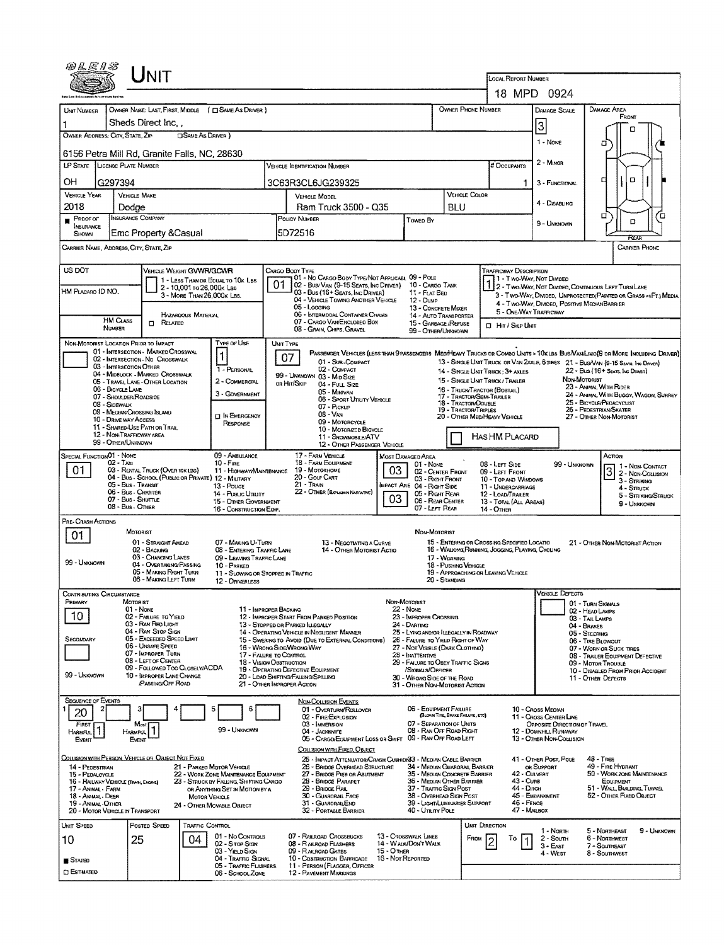| Unit                                                                                                                                                                           |                                                                                                                                                   |                                                                                         |                                                                         |                                                                                                                           |  |  |  |  |
|--------------------------------------------------------------------------------------------------------------------------------------------------------------------------------|---------------------------------------------------------------------------------------------------------------------------------------------------|-----------------------------------------------------------------------------------------|-------------------------------------------------------------------------|---------------------------------------------------------------------------------------------------------------------------|--|--|--|--|
|                                                                                                                                                                                |                                                                                                                                                   |                                                                                         | LOCAL REPORT NUMBER<br>18 MPD 0924                                      |                                                                                                                           |  |  |  |  |
| UNIT NUMBER<br>OWNER NAME: LAST, FIRST, MIDDLE ( C SAME AS DRIVER )                                                                                                            |                                                                                                                                                   | OWNER PHONE NUMBER                                                                      | DAMAGE SCALE                                                            | DAMAGE AREA                                                                                                               |  |  |  |  |
| Sheds Direct Inc.                                                                                                                                                              |                                                                                                                                                   |                                                                                         | 3                                                                       | FRONT                                                                                                                     |  |  |  |  |
| <b>CISAME AS DRIVER</b> )<br>OWNER ADDRESS: CITY, STATE, ZIP                                                                                                                   |                                                                                                                                                   |                                                                                         | 1 - Nove                                                                | Π<br>۵                                                                                                                    |  |  |  |  |
| 6156 Petra Mill Rd, Granite Falls, NC, 28630                                                                                                                                   |                                                                                                                                                   |                                                                                         |                                                                         |                                                                                                                           |  |  |  |  |
| LP STATE<br>LICENSE PLATE NUMBER                                                                                                                                               | Vehicle Identification Number                                                                                                                     |                                                                                         | 2 - MINOR<br># Occupants                                                |                                                                                                                           |  |  |  |  |
| OН<br>G297394                                                                                                                                                                  | 3C63R3CL6JG239325                                                                                                                                 |                                                                                         | 3 - FUNCTIONAL<br>1.                                                    | α<br>α                                                                                                                    |  |  |  |  |
| <b>VEHICLE YEAR</b><br><b>VEHICLE MAKE</b><br>2018<br>Dodge                                                                                                                    | <b>VEHICLE MODEL</b><br>Ram Truck 3500 - Q35                                                                                                      | VEHICLE COLOR<br>BLU                                                                    | 4 - DISABLING                                                           |                                                                                                                           |  |  |  |  |
| <b>INSURANCE COMPANY</b><br>$P_{\text{ROOF OF}}$<br>INSURANCE                                                                                                                  | POLICY NUMBER<br>Towed By                                                                                                                         |                                                                                         | 9 - UNKNOWN                                                             | Ω<br>Έ<br>$\Box$                                                                                                          |  |  |  |  |
| Emc Property & Casual<br>SHOWN                                                                                                                                                 | 5D72516                                                                                                                                           |                                                                                         |                                                                         | RFXI                                                                                                                      |  |  |  |  |
| Carrier Name, Address, City, State, Zip                                                                                                                                        |                                                                                                                                                   |                                                                                         |                                                                         | <b>CARRIER PHONE</b>                                                                                                      |  |  |  |  |
| US DOT<br>VEHICLE WEIGHT GVWR/GCWR<br>CARGO BODY TYPE                                                                                                                          | 01 - No CARGO BODY TYPE/NOT APPUCABL 09 - POLE                                                                                                    |                                                                                         | TRAFFICWAY DESCRIPTION<br>1 - Two-Way, Not Divideo                      |                                                                                                                           |  |  |  |  |
| 1 - LESS THAN OR EQUAL TO 10K LBS<br>01<br>2 - 10,001 to 26,000k Las<br>HM PLACARD ID NO.<br>3 - MORE THAN 26,000 K LBS.                                                       | 02 - Bus/ Van (9-15 Seats, Inc Driver)<br>10 - Cargo Tank<br>03 - Bus (16+ Seats, Inc Driver)<br>11 - FLAT BED                                    |                                                                                         |                                                                         | 112 - Two-Way, Not Divided, Continuous Left Turn Lane<br>3 - Two-Way, Divided, UNPROTECTED (PAINTED OR GRASS >4FT.) MEDIA |  |  |  |  |
|                                                                                                                                                                                | 04 - VEHICLE TOWING ANOTHER VEHICLE<br>12 - Dump<br>05 - Logging                                                                                  | 13 - CONCRETE MIXER                                                                     | 4 - Two-Way, Divided, Positive Median Barrier<br>5 - ONE-WAY TRAFFICWAY |                                                                                                                           |  |  |  |  |
| HAZARDOUS MATERIAL<br><b>HM CLASS</b><br>$R_{\text{ELATED}}$<br>NUMBER                                                                                                         | 06 - INTERMODAL CONTAINER CHASIS<br>07 - CARGO VAN/ENCLOSED BOX<br>08 - GRAIN, CHIPS, GRAVEL                                                      | 14 - AUTO TRANSPORTER<br>15 - GARBAGE /REFUSE                                           | LI Hit / Skip Unit                                                      |                                                                                                                           |  |  |  |  |
| NON-MOTORIST LOCATION PRIOR TO IMPACT<br>TYPE OF USE<br>UNIT TYPE                                                                                                              |                                                                                                                                                   | 99 - OTHER/UNKNOWN                                                                      |                                                                         |                                                                                                                           |  |  |  |  |
| 01 - INTERSECTION - MARKED CROSSWAL<br>1<br>07<br>02 - INTERSECTION - NO CROSSWALK                                                                                             | PASSENGER VEHICLES (LESS THAN 9 PASSENGERS MEDIMEANY TRUCKS OR COMBO UNITS > 10X LBS BUS/VAN/LIMO(9 OR MORE INCLUDING DRIVER)<br>01 - Sub-Compact |                                                                                         |                                                                         | 13 - SINGLE UNIT TRUCK OR VAN ZAXLE, 6 TIRES 21 - BUS/VAN (9-15 SEATS, INC DRIVER)                                        |  |  |  |  |
| 03 - INTERSECTION OTHER<br>1 - PERSONAL<br>04 - MIDBLOCK - MARKED CROSSWALK                                                                                                    | 02 - COMPACT<br>99 - UNKNOWN 03 - MID SIZE                                                                                                        | 14 - SINGLE UNIT TRUCK: 3+ AXLES                                                        |                                                                         | 22 - BUS (16+ SEATS, INC DRAWER)                                                                                          |  |  |  |  |
| 2 - COMMERCIAL<br>05 - TRAVEL LANE - OTHER LOCATION<br>or Hit/Skip<br>06 - BICYCLE LANE<br>3 - GOVERNMENT                                                                      | 04 - FULL SIZE<br>05 - Minivan                                                                                                                    | 15 - SINGLE UNIT TRUCK / TRAILER<br>16 - TRUCK/TRACTOR (BOBTAIL)                        |                                                                         | NON-MOTORIST<br>23 - ANIMAL WITH RIDER<br>24 - ANIMAL WITH BUGGY, WAGON, SURREY                                           |  |  |  |  |
| 07 - SHOULDER/ROADSIDE<br>08 - SIDEWALK<br>09 - MEDIAN/CROSSING ISLAND                                                                                                         | 06 - SPORT UTIUTY VEHICLE<br>07 - Pickup                                                                                                          | 17 - TRACTOR/SEMI-TRAILER<br>18 - Tractor/Double<br><b>19 - TRACTOR/TRIPLES</b>         | 25 - BICYCLE/PEDACYCLIST<br>26 - PEDESTRIAN/SKATER                      |                                                                                                                           |  |  |  |  |
| <b>IT IN EMERGENCY</b><br>10 - DRIVE WAY ACCESS<br>RESPONSE<br>11 - SHARED-USE PATH OR TRAIL                                                                                   | 08 - VAN<br>09 - MOTORCYCLE<br>10 - MOTORIZED BICYCLE                                                                                             | 20 - OTHER MEDIMEAVY VEHICLE                                                            |                                                                         | 27 - OTHER NON-MOTORIST                                                                                                   |  |  |  |  |
| 12 - NON-TRAFFICWAY AREA<br>99 - OTHER/UNKNOWN                                                                                                                                 | 11 SNOWMOBILE/ATV<br>12 - OTHER PASSENGER VEHICLE                                                                                                 |                                                                                         | HASHM PLACARD                                                           |                                                                                                                           |  |  |  |  |
| SPECIAL FUNCTION 01 - NONE<br>09 - AMBULANCE<br>$02 - T$ AXI<br>$10 -$ FiRE                                                                                                    | 17 - FARM VEHICLE<br>Most Damaged Area<br><b>18 - FARM EQUIPMENT</b>                                                                              |                                                                                         |                                                                         | Action                                                                                                                    |  |  |  |  |
| 01<br>03 - RENTAL TRUCK (OVER 10K LBS)<br>11 - HIGHWAY/MAINTENANCE<br>04 - Bus - SCHOOL (PUBLIC OR PRIVATE) 12 - MILITARY                                                      | 01 - None<br>03<br>19 - Мотокноме<br>20 - Gouf Cart                                                                                               | 08 - LEFT SIDE<br>02 - CENTER FRONT<br>09 - LEFT FRONT<br>03 - Right Front              | 10 - TOP AND WINDOWS                                                    | 99 - UNKNOWN<br>1 - Non Contact<br>$\vert 3 \vert$<br>2 - Non-Counsion                                                    |  |  |  |  |
| 05 - Bus - Transit<br>$13 - P_{\text{OUCE}}$<br>06 - Bus - Charter<br>14 - Pusuc Unury                                                                                         | $21 -$ Train<br><b>IMPACT ARE 04 - RIGHT SIDE</b><br>22 - OTHER (EXPLANIN NARRATIVE)                                                              | 05 - Right Rear<br>12 - LOAD/TRAILER                                                    | 11 - UNDERCARRIAGE                                                      | 3 - STRIKING<br>4 - Struck<br>5 - STRIKING/STRUCK                                                                         |  |  |  |  |
| 07 - Bus - SHUTTLE<br>15 - OTHER GOVERNMENT<br>08 - Bus - Other<br>16 - CONSTRUCTION EOIP.                                                                                     | 03                                                                                                                                                | 06 - REAR CENTER<br>07 - LEFT REAR                                                      | 13 - TOTAL (ALL AREAS)<br>9 - UMWOWN<br>14 - Отнев                      |                                                                                                                           |  |  |  |  |
| PRE-CRASH ACTIONS<br>MOTORIST                                                                                                                                                  | NON-MOTORIST                                                                                                                                      |                                                                                         |                                                                         |                                                                                                                           |  |  |  |  |
| 01<br>01 - STRAIGHT AHEAD<br>07 - MAKING U-TURN                                                                                                                                | 13 - NEGOTIATING A CURVE                                                                                                                          | 15 - ENTERING OR CROSSING SPECIFIED LOCATIO                                             |                                                                         | 21 - OTHER NON-MOTORIST ACTION                                                                                            |  |  |  |  |
| 02 - BACKING<br>08 - ENTERING TRAFFIC LANE<br>03 - CHANGING LANES<br>09 - LEAVING TRAFFIC LANE<br>99 - Unknown<br>04 - OVERTAKING/PASSING<br>10 - PARKED                       | 14 - OTHER MOTORIST ACTIO                                                                                                                         | 16 - WALKING RUNNING, JOGGING, PLAYING, CYCLING<br>17 - WORKING<br>18 - Pushing Vericle |                                                                         |                                                                                                                           |  |  |  |  |
| 05 - MAKING RIGHT TURN<br>11 - SLOWING OR STOPPED IN TRAFFIC<br>06 - MAKING LEFT TURN<br>12 - DRIVERLESS                                                                       |                                                                                                                                                   | 19 - APPROACHING OR LEAVING VEHICLE<br>20 - Standing                                    |                                                                         |                                                                                                                           |  |  |  |  |
| Contributing Circumstance                                                                                                                                                      |                                                                                                                                                   |                                                                                         | <b>VERICLE LIEFECTS</b>                                                 |                                                                                                                           |  |  |  |  |
| Primary<br>MOTORIST<br>11 - IMPROPER BACKING<br>01 - None<br>10<br>02 - FAILURE TO YIELD                                                                                       | NON-MOTORIST<br>$22 - None$<br>12 - IMPROPER START FROM PARKED POSITION<br>23 - IMPROPER CROSSING                                                 |                                                                                         |                                                                         | 01 - TURN SKNAUS<br>02 - HEAD LAMPS                                                                                       |  |  |  |  |
| 03 - RAN RED LIGHT<br>13 - STOPPED OR PARKED ILLEGALLY<br>04 - RAN STOP SIGN                                                                                                   | 24 - DARTING<br>14 - OPERATING VEHICLE IN NEGLIGENT MANNER                                                                                        | 25 - LYING AND/OR ILLEGALLY IN ROADWAY                                                  |                                                                         | 03 - TAIL LAMPS<br>04 - BRAKES<br>05 - STEERING                                                                           |  |  |  |  |
| 05 - Exceeped Speed LIMIT<br>Secomdary<br>06 - UNSAFE SPEED<br>16 - WRONG SIDE/WRONG WAY                                                                                       | 15 - Swering to Avoid (Due to External Conditions)                                                                                                | 26 - FALURE TO YIELD RIGHT OF WAY<br>27 - NOT VISIBLE (DARK CLOTHING)                   |                                                                         | 06 - TIRE BLOWQUT<br>07 - WORN OR SUCK TIRES                                                                              |  |  |  |  |
| 07 - IMPROPER TURN<br>17 - FALURE TO CONTROL<br>08 - LEFT OF CENTER<br>18 - Vision Oestruction                                                                                 | 28 - INATTENTIVE                                                                                                                                  | 29 - FAILURE TO OBEY TRAFFIC SIGNS                                                      | 08 - TRAILER EOUIPMENT DEFECTIVE<br>09 - MOTOR TROUBLE                  |                                                                                                                           |  |  |  |  |
| 09 - FOLLOWED TOO CLOSELY/ACDA<br>19 - OPERATING DEFECTIVE EQUIPMENT<br>99 - UNIOVOVIN<br>10 - IMPROPER LANE CHANGE<br>20 - LDAD SHIFTING/FALLING/SPILLING<br>PASSING OFF ROAD | /Stonal s/Officer<br>30 - WRONG SIDE OF THE ROAD                                                                                                  |                                                                                         |                                                                         | 10 - DISABLED FROM PRIOR ACCIDENT<br>11 - OTHER DEFECTS                                                                   |  |  |  |  |
| 21 - OTHER IMPROPER ACTION<br><b>SEQUENCE OF EVENTS</b>                                                                                                                        |                                                                                                                                                   | 31 - OTHER NON-MOTORIST ACTION                                                          |                                                                         |                                                                                                                           |  |  |  |  |
| 20                                                                                                                                                                             | <b>NON-COLUSION EVENTS</b><br>01 - Overturw/Rollover<br>02 - FIRE/EXPLOSION                                                                       | 06 - EQUIPMENT FAILURE<br>(BLOWN TIRE, BRAKE FAILURE, ETC)                              | 10 - Cross Median<br>11 - Cross Center Line                             |                                                                                                                           |  |  |  |  |
| FIRST<br>Most<br>99 - Unknown<br><b>HARMFUL</b><br>Harmful                                                                                                                     | 03 - IMMERSION<br>04 - JACKKNIFE                                                                                                                  | 07 - SEPARATION OF UNITS<br>08 - RAN OFF ROAD RIGHT                                     | OPPOSITE DIRECTION OF TRAVEL<br>12 - DOWNHILL RUNAWAY                   |                                                                                                                           |  |  |  |  |
| Event<br>EVENT                                                                                                                                                                 | 05 - CARGO/EQUIPMENT LOSS OR SHIFT<br>COLLISION WITH FIXED, OBJECT                                                                                | 09 - RAN OFF ROAD LEFT                                                                  | 13 - OTHER NON-COLLISION                                                |                                                                                                                           |  |  |  |  |
| COLLISION WITH PERSON, VEHICLE OR OBJECT NOT FIXED<br>14 - PEDESTRIAN<br>21 - PARKEO MOTOR VEHICLE                                                                             | 25 - Impact Attenuator/Crash Cushion33 - Median Cable Barrier<br>26 - BRIDGE OVERHEAD STRUCTURE                                                   | 34 - Median Guardrall Barrier                                                           | 41 - OTHER POST, POLE<br>OR SUPPORT                                     | $48 - T$ REE<br>49 - FIRE HYDRANT                                                                                         |  |  |  |  |
| 15 - PEDALCYCLE<br>22 - WORK ZONE MAINTENANCE EQUIPMENT<br>16 - RAILWAY VEHICLE (TRAIN, ENGINE)<br>23 - STRUCK BY FALLING, SHIFTING CARGO                                      | 27 - BRIDGE PIER OR ABUTMENT<br>28 - BRIDGE PARAPET                                                                                               | 35 - MEOIAN CONCRETE BARRIER<br>36 - MEDIAN OTHER BARRIER                               | 42 - CULVERT<br>43 - Cuns                                               | 50 - WORK ZONE MAINTENANCE<br>EQUIPMENT                                                                                   |  |  |  |  |
| 17 - Animal - Farm<br>OR ANYTHING SET IN MOTION BY A<br>18 - Animal - DEER<br><b>MOTOR VEHICLE</b>                                                                             | 29 - BRIDGE RAIL<br>30 - GUARDRAIL FACE                                                                                                           | 37 - TRAFFIC SIGN POST<br>38 - Overhead Sign Post                                       | 44 - Олон<br>45 - EMBANKMENT                                            | 51 - WALL, BUILDING, TUNNEL<br>52 - OTHER FIXED OBJECT                                                                    |  |  |  |  |
| 19 - Animal - Other<br>24 - OTHER MOVABLE OBJECT<br>20 - MOTOR VEHICLE IN TRANSPORT                                                                                            | 31 - GUARORAILEND<br>40 - Ununy Pole<br>32 - PORTABLE BARRIER                                                                                     | 39 - LIGHT/LUMINARIES SUPPORT                                                           | 46 - FENCE<br>47 - MAILBOX                                              |                                                                                                                           |  |  |  |  |
| TRAFFIC CONTROL<br>Unit Speed<br>POSTED SPEED                                                                                                                                  |                                                                                                                                                   | UNIT DIRECTION                                                                          | 1 - NORTH                                                               | 5 - Normeast<br>$9 -$ UNKNOWIN                                                                                            |  |  |  |  |
| 01 - No CONTROLS<br>25<br>04<br>10<br>02 - Stor Ston<br>03 - Yieub Sign                                                                                                        | 07 - RAILROAD CROSSBUCKS<br><b>13 - CROSSWALK LINES</b><br>14 - WALK/DON'T WALK<br>08 - RAILROAD FLASHERS<br>09 - RALROAD GATES<br>15 - Отная     | FROM                                                                                    | 2 - South<br>To<br>3 - East                                             | 6 - NORTHWEST<br>7 - Southeast                                                                                            |  |  |  |  |
| 04 - Traffic Signal<br><b>S</b> TATED<br>05 - TRAFFIC FLASHERS                                                                                                                 | 10 - COSTRUCTION BARRICADE<br>16 - Not Reported<br>11 - PERSON (FLAGGER, OFFICER                                                                  |                                                                                         | 4 - WEST                                                                | 8 - Southwest                                                                                                             |  |  |  |  |
| <b>C</b> ESTIMATED<br>06 - SCHOOL ZONE                                                                                                                                         | 12 - PAVEMENT MARKINGS                                                                                                                            |                                                                                         |                                                                         |                                                                                                                           |  |  |  |  |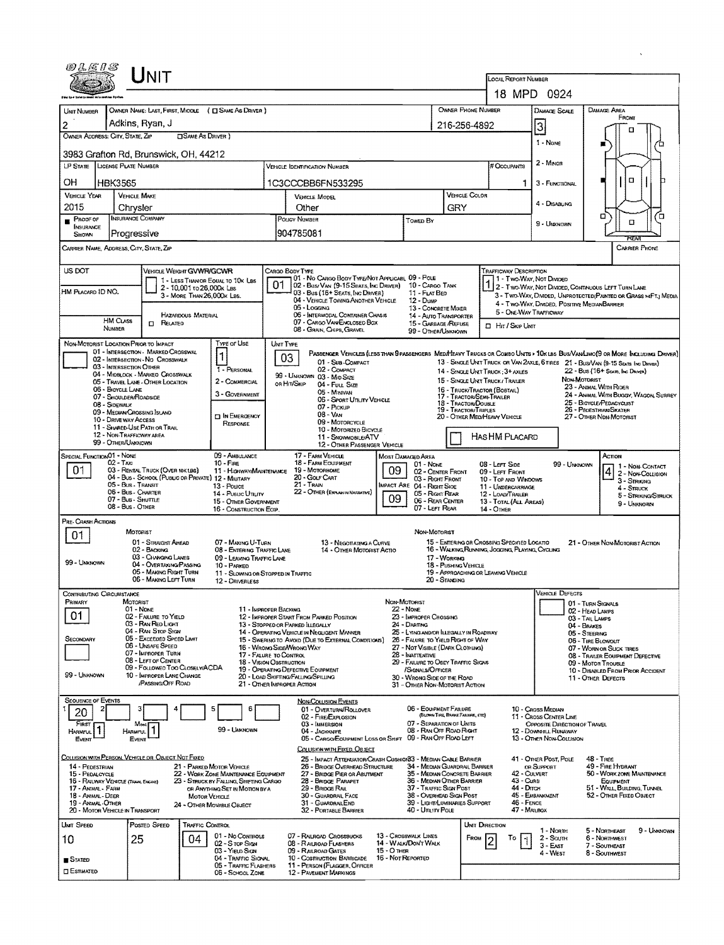| OLENS                                                                 |                                             | Unit                                                                                    |                            |                                                                                |                                                                                                                               |                                                                                                  |                                                        |                                  |                                                                             |                                  |                |                                                                                                                        |                                                              |                                      |                                                                   |                                                                                                                              |  |  |  |
|-----------------------------------------------------------------------|---------------------------------------------|-----------------------------------------------------------------------------------------|----------------------------|--------------------------------------------------------------------------------|-------------------------------------------------------------------------------------------------------------------------------|--------------------------------------------------------------------------------------------------|--------------------------------------------------------|----------------------------------|-----------------------------------------------------------------------------|----------------------------------|----------------|------------------------------------------------------------------------------------------------------------------------|--------------------------------------------------------------|--------------------------------------|-------------------------------------------------------------------|------------------------------------------------------------------------------------------------------------------------------|--|--|--|
|                                                                       |                                             |                                                                                         |                            |                                                                                |                                                                                                                               |                                                                                                  |                                                        |                                  |                                                                             |                                  |                |                                                                                                                        | LOCAL REPORT NUMBER<br>18 MPD 0924                           |                                      |                                                                   |                                                                                                                              |  |  |  |
|                                                                       |                                             |                                                                                         |                            |                                                                                |                                                                                                                               |                                                                                                  |                                                        |                                  |                                                                             |                                  |                |                                                                                                                        |                                                              |                                      |                                                                   |                                                                                                                              |  |  |  |
| UMT NUMBER                                                            |                                             |                                                                                         |                            | OWNER NAME: LAST, FIRST, MIDDLE ( E SAME AS DRIVER )                           |                                                                                                                               |                                                                                                  |                                                        |                                  |                                                                             | OWNER PHONE NUMBER               |                |                                                                                                                        | <b>DAMAGE SCALE</b>                                          |                                      | <b>DAMAGE AREA</b><br>FRONT                                       |                                                                                                                              |  |  |  |
| OWNER ADDRESS: CITY, STATE, ZIP                                       |                                             | Adkins, Ryan, J                                                                         | <b>CISAME AS DRIVER</b> )  |                                                                                |                                                                                                                               |                                                                                                  | 216-256-4892                                           |                                  |                                                                             |                                  |                |                                                                                                                        | $\mathbf{3}$                                                 |                                      |                                                                   |                                                                                                                              |  |  |  |
|                                                                       |                                             |                                                                                         |                            |                                                                                |                                                                                                                               |                                                                                                  |                                                        |                                  |                                                                             |                                  |                |                                                                                                                        | 1 - None                                                     |                                      |                                                                   |                                                                                                                              |  |  |  |
| 3983 Grafton Rd, Brunswick, OH, 44212<br><b>LP STATE</b>              | <b>LICENSE PLATE NUMBER</b>                 |                                                                                         |                            |                                                                                |                                                                                                                               |                                                                                                  | <b>VEHICLE IDENTIFICATION NUMBER</b>                   |                                  |                                                                             |                                  |                |                                                                                                                        | 2 - Minor                                                    |                                      |                                                                   |                                                                                                                              |  |  |  |
| OН                                                                    | <b>HBK3565</b>                              |                                                                                         |                            |                                                                                |                                                                                                                               | 1C3CCCBB6FN533295                                                                                |                                                        |                                  |                                                                             |                                  |                | ı                                                                                                                      | 3 - FUNCTIONAL                                               |                                      | O                                                                 |                                                                                                                              |  |  |  |
| <b>VEHICLE YEAR</b>                                                   | <b>VEHICLE MAKE</b>                         |                                                                                         |                            |                                                                                |                                                                                                                               | VEHICLE COLOR<br>VEHICLE MODEL                                                                   |                                                        |                                  |                                                                             |                                  |                |                                                                                                                        |                                                              |                                      |                                                                   |                                                                                                                              |  |  |  |
| 2015                                                                  | Chrysler                                    |                                                                                         |                            | Other                                                                          |                                                                                                                               |                                                                                                  |                                                        | GRY                              |                                                                             |                                  | 4 - Disabung   |                                                                                                                        |                                                              |                                      |                                                                   |                                                                                                                              |  |  |  |
| PROOF OF<br><b>INSURANCE</b>                                          |                                             | <b>INSURANCE COMPANY</b>                                                                |                            | POLICY NUMBER                                                                  |                                                                                                                               |                                                                                                  | <b>TOWED BY</b>                                        |                                  |                                                                             |                                  | 9 - UNKNOWN    |                                                                                                                        | σ<br>α                                                       | ้ต                                   |                                                                   |                                                                                                                              |  |  |  |
| SHOWN                                                                 | Progressive                                 |                                                                                         |                            |                                                                                |                                                                                                                               | 904785081                                                                                        |                                                        |                                  |                                                                             |                                  |                |                                                                                                                        |                                                              |                                      | ਸਟਨਸ                                                              |                                                                                                                              |  |  |  |
| CARRIER NAME, ADDRESS, CITY, STATE, ZIP                               |                                             |                                                                                         |                            |                                                                                |                                                                                                                               |                                                                                                  |                                                        |                                  |                                                                             |                                  |                |                                                                                                                        |                                                              |                                      |                                                                   | CARRIER PHONE                                                                                                                |  |  |  |
| US DOT                                                                |                                             | VEHICLE WEIGHT GVWR/GCWR                                                                |                            |                                                                                |                                                                                                                               | CARGO BODY TYPE<br>01 - No CARGO BODY TYPE/NOT APPLICABL 09 - POLE                               |                                                        |                                  |                                                                             |                                  |                | TRAFFICWAY DESCRIPTION                                                                                                 | 1 - Two-Way, Not Divided                                     |                                      |                                                                   |                                                                                                                              |  |  |  |
| HM PLACARD ID NO.                                                     |                                             |                                                                                         | 2 - 10,001 to 26,000k Las  | 1 - LESS THAN OR EQUAL TO 10K LBS                                              | 01                                                                                                                            | 02 - Bus/ Van (9-15 Seats, Inc Driver)<br>03 - Bus (16+ SEATS, INC DRIVER)                       |                                                        |                                  | 10 - Cargo TANK<br>11 - FLAT BED                                            |                                  |                | 1 2 - I WO-WAY, I'VOI LOWDED, CONTINUOUS LEFT TURN LANE                                                                |                                                              |                                      |                                                                   |                                                                                                                              |  |  |  |
|                                                                       |                                             |                                                                                         | 3 - MORE THAN 26,000K LBS. |                                                                                |                                                                                                                               | 04 - VEHICLE TOWING ANOTHER VEHICLE<br>05 - Logging                                              |                                                        |                                  | 12 - Duup<br>13 - CONCRETE MIXER                                            |                                  |                |                                                                                                                        | 4 - Two-WAY, DIMDED, POSITIVE MEDIANBARRIER                  |                                      |                                                                   | 3 - Two-Way, Divided, UNPROTECTED (PAINTED OR GRASS > <ft.) media<="" td=""></ft.)>                                          |  |  |  |
|                                                                       | HM CLASS                                    | RELATED<br>$\Box$                                                                       | Hazardous Material         |                                                                                |                                                                                                                               | 06 - INTERMODAL CONTAINER CHASIS<br>07 - CARGO VAN/ENCLOSED BOX                                  |                                                        |                                  | <b>14 - Auto TRANSPORTER</b><br>15 - GARBAGE /REFUSE                        |                                  |                | 5 - ONE-WAY TRAFFICWAY<br><b>D</b> Hit / Skip Unit                                                                     |                                                              |                                      |                                                                   |                                                                                                                              |  |  |  |
|                                                                       | NUMBER                                      |                                                                                         |                            |                                                                                |                                                                                                                               | 08 - GRAIN, CHIPS, GRAVEL                                                                        |                                                        |                                  | 99 - OTHER/UNKNOWN                                                          |                                  |                |                                                                                                                        |                                                              |                                      |                                                                   |                                                                                                                              |  |  |  |
| NON-MOTORIST LOCATION PRIOR TO IMPACT                                 |                                             | 01 - INTERSECTION - MARKED CROSSWAL                                                     |                            | <b>Type or Use</b><br>1                                                        | UNIT TYPE                                                                                                                     |                                                                                                  |                                                        |                                  |                                                                             |                                  |                |                                                                                                                        |                                                              |                                      |                                                                   | PASSENGER VEHICLES (LESS THAN 9 PASSENGERS MEDIMEAVY TRUCKS OR COMBO UNITS > 10K LBS BUS/VAWLIMO(9 OR MORE INCLUDING DRIVER) |  |  |  |
|                                                                       | 03 - INTERSECTION OTHER                     | 02 - INTERSECTION - NO CROSSWALK                                                        |                            | 1 - PERSONAL                                                                   | 03                                                                                                                            | 01 - Sub-COMPACT<br>02 - COMPACT                                                                 |                                                        |                                  |                                                                             |                                  |                | 13 - SINGLE UNIT TRUCK OR VAN 2AXLE, 6 TIRES 21 - BUS/VAN (9-15 SEATS, INC DRIVER)<br>14 - SINGLE UNIT TRUCK: 3+ AXLES |                                                              |                                      |                                                                   |                                                                                                                              |  |  |  |
|                                                                       |                                             | 04 - MIDBLOCK - MARKEO CROSSWALK<br>05 - TRAVEL LANE - OTHER LOCATION                   |                            | 2 - COMMERCIAL                                                                 | 99 - UNKNOWN 03 - MID SIZE<br>OR HIT/SKIP<br>04 - Fuu, Size                                                                   |                                                                                                  |                                                        |                                  |                                                                             |                                  |                | 22 - Bus (16+ Seate, Inc Driver)<br>NON-MOTORIST<br>15 - SINGLE UNIT TRUCK/ TRAILER<br>23 - Animal With Rider          |                                                              |                                      |                                                                   |                                                                                                                              |  |  |  |
|                                                                       | 06 - BICYCLE LANE<br>07 - SHOULDER/ROADSIDE |                                                                                         |                            | 3 - Government                                                                 | 16 - TRUCK/TRACTOR (BOBTAIL)<br>05 - Minivan<br>17 - TRACTOR/SEMI-TRALER<br>06 - SPORT UTILITY VEHICLE<br>18 - TRACTOR/DOUBLE |                                                                                                  |                                                        |                                  |                                                                             |                                  |                |                                                                                                                        |                                                              |                                      | 24 - ANHAM. WITH BUGGY, WAGON, SURREY<br>25 - BICYCLE/PEDACYCLIST |                                                                                                                              |  |  |  |
|                                                                       | 08 - Sidewalk<br>10 - DRIVE WAY ACCESS      | 09 - MEDIAN CROSSING ISLAND                                                             |                            | <b>DIN EMERGENCY</b>                                                           | 07 - Pickup<br>08 - VAN                                                                                                       |                                                                                                  |                                                        |                                  |                                                                             | 19 - Tractor/Triples             |                | 20 - OTHER MEDIHEAVY VEHICLE                                                                                           |                                                              |                                      | 26 - PEDESTRIAN/SKATER<br>27 - OTHER NON-MOTORIST                 |                                                                                                                              |  |  |  |
|                                                                       | 12 - NON-TRAFFICWAY AREA                    | 11 - SHARED-USE PATH OR TRAIL                                                           |                            | RESPONSE                                                                       | 09 - MOTORCYCLE<br>10 - MOTORIZED BICYCLE<br>11 - SNOWMOBILE/ATV                                                              |                                                                                                  |                                                        |                                  |                                                                             |                                  |                | <b>HASHM PLACARD</b>                                                                                                   |                                                              |                                      |                                                                   |                                                                                                                              |  |  |  |
|                                                                       | 99 - OTHER/UNKNOWN                          |                                                                                         |                            |                                                                                |                                                                                                                               | 12 - OTHER PASSENGER VEHICLE                                                                     |                                                        |                                  |                                                                             |                                  |                |                                                                                                                        |                                                              |                                      |                                                                   |                                                                                                                              |  |  |  |
| SPECIAL FUNCTION01 - NONE                                             | $02 - T_Ax_1$                               |                                                                                         |                            | 09 - AMBULANCE<br>$10 -$ Fire                                                  |                                                                                                                               | 17 - FARM VEHICLE<br>18 - FARM EQUIPMENT                                                         |                                                        | <b>MOST DAMAGED AREA</b>         | 01 NONE                                                                     |                                  |                | 08 - LEFT SIDE                                                                                                         |                                                              | 99 - UNGJOWN                         | Астом                                                             | 1 - NON-CONTACT                                                                                                              |  |  |  |
| 01                                                                    |                                             | 03 - RENTAL TRUCK (OVER 10K LBS)<br>04 - Bus - School (Public or Private) 12 - Military |                            | 11 - HIGHWAY/MAINTENANCE                                                       |                                                                                                                               | 19 - MOTORHOME<br>20 - GOLF CART                                                                 |                                                        | 09                               | 02 - CENTER FRONT<br>03 - Right Front                                       |                                  |                | 09 - LEFT FRONT<br>10 - TOP AND WINDOWS                                                                                |                                                              |                                      | $4\frac{1}{2}$ - Non-Collision<br>3 - Struking                    |                                                                                                                              |  |  |  |
|                                                                       | 05 - BUS - TRANSIT<br>06 - Bus - CHARTER    |                                                                                         |                            | 13 - Pouce<br>14 - Pusuc Unury                                                 |                                                                                                                               | $21 -$ TRAIN<br>22 - OTHER (EXPLAIN IN NASRATIVE)                                                |                                                        | 09                               | <b>IMPACT ARE 04 - RIGHT SIDE</b><br>05 - Right Rear                        |                                  |                | 11 - UNDERCARRIAGE<br>12 - LOAD/TRAILER                                                                                |                                                              |                                      | 4 - STRUCK                                                        | 5 - Striking/Struck                                                                                                          |  |  |  |
|                                                                       | 07 - Bus - SHUTTLE<br>08 - Bus - OTHER      |                                                                                         |                            | 15 - OTHER GOVERNMENT<br>16 - CONSTRUCTION EOIP.                               |                                                                                                                               |                                                                                                  |                                                        |                                  | 06 - REAR CENTER<br>07 - LEFT REAR                                          |                                  |                | 13 - TOTAL (ALL AREAS)<br>14 - OTHER                                                                                   |                                                              |                                      | 9 - Unknown                                                       |                                                                                                                              |  |  |  |
| PRE- CRASH ACTIONS                                                    |                                             |                                                                                         |                            |                                                                                |                                                                                                                               |                                                                                                  |                                                        |                                  |                                                                             |                                  |                |                                                                                                                        |                                                              |                                      |                                                                   |                                                                                                                              |  |  |  |
| 01                                                                    |                                             | <b>MOTORIST</b><br>01 - STRAIGHT AHEAD                                                  |                            | 07 - MAKING U-TURN                                                             |                                                                                                                               |                                                                                                  | 13 - NEGOTIATING A CURVE                               |                                  | NON-MOTORIST                                                                |                                  |                | 15 - ENTERING OR CROSSING SPECIFIED LOCATIO                                                                            |                                                              |                                      | 21 - OTHER NON-MOTORIST ACTION                                    |                                                                                                                              |  |  |  |
| 99 - Unknown                                                          |                                             | 02 - BACKING<br>03 - CHANGING LANES                                                     |                            | 08 - ENTERING TRAFFIC LANE<br>09 - LEAVING TRAFFIC LANE                        |                                                                                                                               | 14 - OTHER MOTORIST ACTIO<br>17 - WORKING                                                        |                                                        |                                  |                                                                             |                                  |                | 16 - WALKING RUNNING, JOGGING, PLAYING, CYCLING                                                                        |                                                              |                                      |                                                                   |                                                                                                                              |  |  |  |
|                                                                       |                                             | 04 - OVERTAKING/PASSING<br>05 - MAKING RIGHT TURN<br>06 - MAKING LEFT TURN              |                            | 10 - PARKED<br>11 - SLOWING OR STOPPED IN TRAFFIC                              |                                                                                                                               |                                                                                                  |                                                        |                                  |                                                                             | 18 - PUSHING VEHICLE             |                | 19 - APPROACHING OR LEAVING VEHICLE                                                                                    |                                                              |                                      |                                                                   |                                                                                                                              |  |  |  |
| <b>CONTRIBUTING CIRCUMSTANCE</b>                                      |                                             |                                                                                         |                            | 12 - DRIVERLESS                                                                |                                                                                                                               |                                                                                                  |                                                        |                                  |                                                                             | 20 - STANDING                    |                |                                                                                                                        | VEHICLE DEFECTS                                              |                                      |                                                                   |                                                                                                                              |  |  |  |
| PRIMARY                                                               | MOTORIST                                    | $01 - None$                                                                             |                            | 11 - IMPROPER BACKING                                                          |                                                                                                                               |                                                                                                  |                                                        | Non-Motorist<br>22 - Nove        |                                                                             |                                  |                |                                                                                                                        |                                                              | 01 - TURN SIGNALS<br>02 - HEAD LAMPS |                                                                   |                                                                                                                              |  |  |  |
| 01                                                                    |                                             | 02 - FAILURE TO YIELD<br>03 - RAN RED LIGHT                                             |                            |                                                                                |                                                                                                                               | 12 - IMPROPER START FROM PARKED POSITION<br>13 - STOPPED OR PARKED ILLEGALLY                     |                                                        |                                  | 23 - IMPROPER CROSSING<br>24 - DARTING                                      |                                  |                |                                                                                                                        |                                                              | 03 - TAIL LAMPS<br>04 - BRAKES       |                                                                   |                                                                                                                              |  |  |  |
| Secondary                                                             |                                             | 04 - RAN STOP SIGN<br>05 - Exceeded Speed Limit                                         |                            |                                                                                |                                                                                                                               | 14 - OPERATING VEHICLE IN NEGLIGENT MANNER<br>15 - Swering to Avoid (Due to External Conditions) |                                                        |                                  | 25 - LYING AND/OR ILLEGALLY IN ROADWAY<br>26 - FALURE TO YIELD RIGHT OF WAY |                                  |                |                                                                                                                        |                                                              | 05 - STEERING<br>06 - TIRE BLOWOUT   |                                                                   |                                                                                                                              |  |  |  |
|                                                                       |                                             | 06 - UNSAFE SPEED<br>07 - IMPROPER TURN                                                 |                            | 17 - FALURE TO CONTROL                                                         |                                                                                                                               | 16 - Wrong Side/Wrong Way                                                                        | 27 - NOT VISIBLE (DARK CLOTHING)<br>28 - INATTENTIVE   |                                  |                                                                             |                                  |                |                                                                                                                        | 07 - WORN OR SLICK TIRES<br>08 - TRAILER EQUIPMENT DEFECTIVE |                                      |                                                                   |                                                                                                                              |  |  |  |
|                                                                       |                                             | 08 - LEFT OF CENTER<br>09 - FOLLOWED TOO CLOSELY/ACDA                                   |                            | 18 - VISION OBSTRUCTION                                                        |                                                                                                                               | 19 - OPERATING DEFECTIVE EQUIPMENT                                                               | 29 - FAILURE TO OBEY TRAFFIC SIGNS<br>/SIGNALS/OFFICER |                                  |                                                                             |                                  |                |                                                                                                                        | 09 - Motor Trouble<br>10 - DISABLED FROM PRIOR ACCIDENT      |                                      |                                                                   |                                                                                                                              |  |  |  |
| 99 - UNKNOWN                                                          |                                             | 10 - IMPROPER LANE CHANGE<br>/PASSING/OFF ROAD                                          |                            |                                                                                |                                                                                                                               | 20 - LOAD SHIFTING/FALLING/SPILLING<br>21 - OTHER IMPROPER ACTION                                |                                                        |                                  | 30 - Wrong Stoe of the Road<br>31 - OTHER NON-MOTORIST ACTION               |                                  |                |                                                                                                                        |                                                              |                                      | 11 - OTHER DEFECTS                                                |                                                                                                                              |  |  |  |
| <b>SEQUENCE OF EVENTS</b>                                             |                                             |                                                                                         |                            |                                                                                |                                                                                                                               | <b>NON-COLLISION EVENTS</b>                                                                      |                                                        |                                  |                                                                             |                                  |                |                                                                                                                        |                                                              |                                      |                                                                   |                                                                                                                              |  |  |  |
| 20                                                                    |                                             |                                                                                         |                            | 6                                                                              |                                                                                                                               | 01 - OVERTURN/ROLLOVER<br>02 - FIRE/EXPLOSION                                                    |                                                        |                                  | 06 - EQUIPMENT FAILURE                                                      | (BLOWN TIRE, BRANE FARAIRE, ETC) |                |                                                                                                                        | 10 - CROSS MEDIAN<br>11 - CROSS CEMER LINE                   |                                      |                                                                   |                                                                                                                              |  |  |  |
| FIRST<br>Harmful                                                      | <b>HARMFUL</b>                              |                                                                                         |                            | 99 - UNKNOWN                                                                   |                                                                                                                               | 03 - IMMERSION<br>04 - JACKKNIFE                                                                 |                                                        |                                  | 07 - SEPARATION OF UNITS<br>08 - RAN OFF ROAD RIGHT                         |                                  |                |                                                                                                                        | <b>OPPOSITE DIRECTION OF TRAVEL</b><br>12 - DOWNHILL RUNAWAY |                                      |                                                                   |                                                                                                                              |  |  |  |
| Event                                                                 |                                             | EVENT                                                                                   |                            |                                                                                |                                                                                                                               | 05 - CARGO/ECUIPMENT LOSS OR SHIFT 09 - RAN OFF ROAD LEFT<br>COLLISION WITH FIXED, OBJECT        |                                                        |                                  |                                                                             |                                  |                |                                                                                                                        | 13 - OTHER NON-COLLISION                                     |                                      |                                                                   |                                                                                                                              |  |  |  |
| COLLISION WITH PERSON, VEHICLE OR OBJECT NOT FIXED<br>14 - PEDESTRIAN |                                             |                                                                                         |                            | 21 - PARKED MOTOR VEHICLE                                                      |                                                                                                                               | 25 - IMPACT ATTENUATOR/CRASH CUSHION33 - MEDIAN CABLE BARRIER<br>26 - BRIDGE OVERHEAD STRUCTURE  |                                                        |                                  | 34 - MEDIAN GUARDRAIL BARRIER                                               |                                  |                |                                                                                                                        | 41 - Onger Post, Pole<br>OR SUPPORT                          |                                      | 48 - TREE<br>49 - FIRE HYDRANT                                    |                                                                                                                              |  |  |  |
| 15 - PEDALCYCLE<br>16 - RAILWAY VEHICLE (TRAIN, ENGINE)               |                                             |                                                                                         |                            | 22 - WORK ZONE MAINTENANCE EQUIPMENT<br>23 - STRUCK BY FALLING, SHIFTING CARGO |                                                                                                                               | 27 - BRIDGE PIER OR ABUTMENT<br>28 - BRIDGE PARAPET                                              |                                                        |                                  | 35 - Median Concrete Barrier<br>36 - Median Other Barrier                   |                                  |                | 42 - CULVERT<br>43 - CURB                                                                                              |                                                              |                                      | 50 - WORK ZONE MAINTENANCE<br>EQUIPMENT                           |                                                                                                                              |  |  |  |
| 17 - ANIMAL - FARM<br>18 - Animal - Deer                              |                                             |                                                                                         | <b>MOTOR VEHICLE</b>       | OR ANYTHING SET IN MOTION BY A                                                 |                                                                                                                               | 29 - BRIDGE RAIL<br>30 - GUARDRAIL FACE                                                          |                                                        |                                  | 37 - Traffic Sign Post<br>38 - Overhead Sign Post                           |                                  |                | 44 - Олтон                                                                                                             | 45 - EMBANKMENT                                              |                                      | 51 - WALL BUILDING, TUNNEL<br>52 - OTHER FIXED OBJECT             |                                                                                                                              |  |  |  |
| 19 - ANIMAL OTHER<br>20 - MOTOR VEHICLE IN TRANSPORT                  |                                             |                                                                                         |                            | 24 ~ OTHER MOVABLE OBJECT                                                      |                                                                                                                               | 31 - GUARDRAILEND<br>32 - PORTABLE BARRIER                                                       |                                                        |                                  | 39 - Light/Luminaries Support<br>40 - Unury Pous                            |                                  |                | 46 - FENCE<br>47 - MALBOX                                                                                              |                                                              |                                      |                                                                   |                                                                                                                              |  |  |  |
| UNIT SPEED                                                            |                                             | POSTED SPEED                                                                            | <b>TRAFFIC CONTROL</b>     |                                                                                |                                                                                                                               |                                                                                                  |                                                        |                                  |                                                                             |                                  | UNIT DIRECTION |                                                                                                                        | 1 - Nonn                                                     |                                      | 5 - NORTHEAST                                                     | 9 - UNKNOWN                                                                                                                  |  |  |  |
| 10                                                                    | 25                                          |                                                                                         | 04                         | 01 - No CONTROLS<br>02 - S TOP SIGN                                            |                                                                                                                               | 07 - RALROAD CROSSBUCKS<br>08 - RAILROAD FLASHERS                                                |                                                        |                                  | 13 - CROSSWALK LINES<br>14 - WALK/DON'T WALK                                |                                  | FROM           | То                                                                                                                     | 2 - South<br>3 - East                                        |                                      | 6 - NORTHWEST<br>7 - SOUTHEAST                                    |                                                                                                                              |  |  |  |
| STATED                                                                |                                             |                                                                                         |                            | 03 - Yieun Sichi<br>04 - TRAFFIC SIGNAL                                        |                                                                                                                               | 09 - RAILROAD GATES<br>10 - COSTRUCTION BARRICADE                                                |                                                        | 15 - О тнев<br>16 - Not Reported |                                                                             |                                  |                |                                                                                                                        | 4 - West                                                     |                                      | 8 - Southwest                                                     |                                                                                                                              |  |  |  |
| <b>ESTIMATED</b>                                                      |                                             |                                                                                         |                            | 05 - TRAFFIC FLASHERS<br>06 - School Zone                                      |                                                                                                                               | 11 - PERSON (FLAGGER, OFFICER<br><b>12 - PAVEMENT MARKINGS</b>                                   |                                                        |                                  |                                                                             |                                  |                |                                                                                                                        |                                                              |                                      |                                                                   |                                                                                                                              |  |  |  |